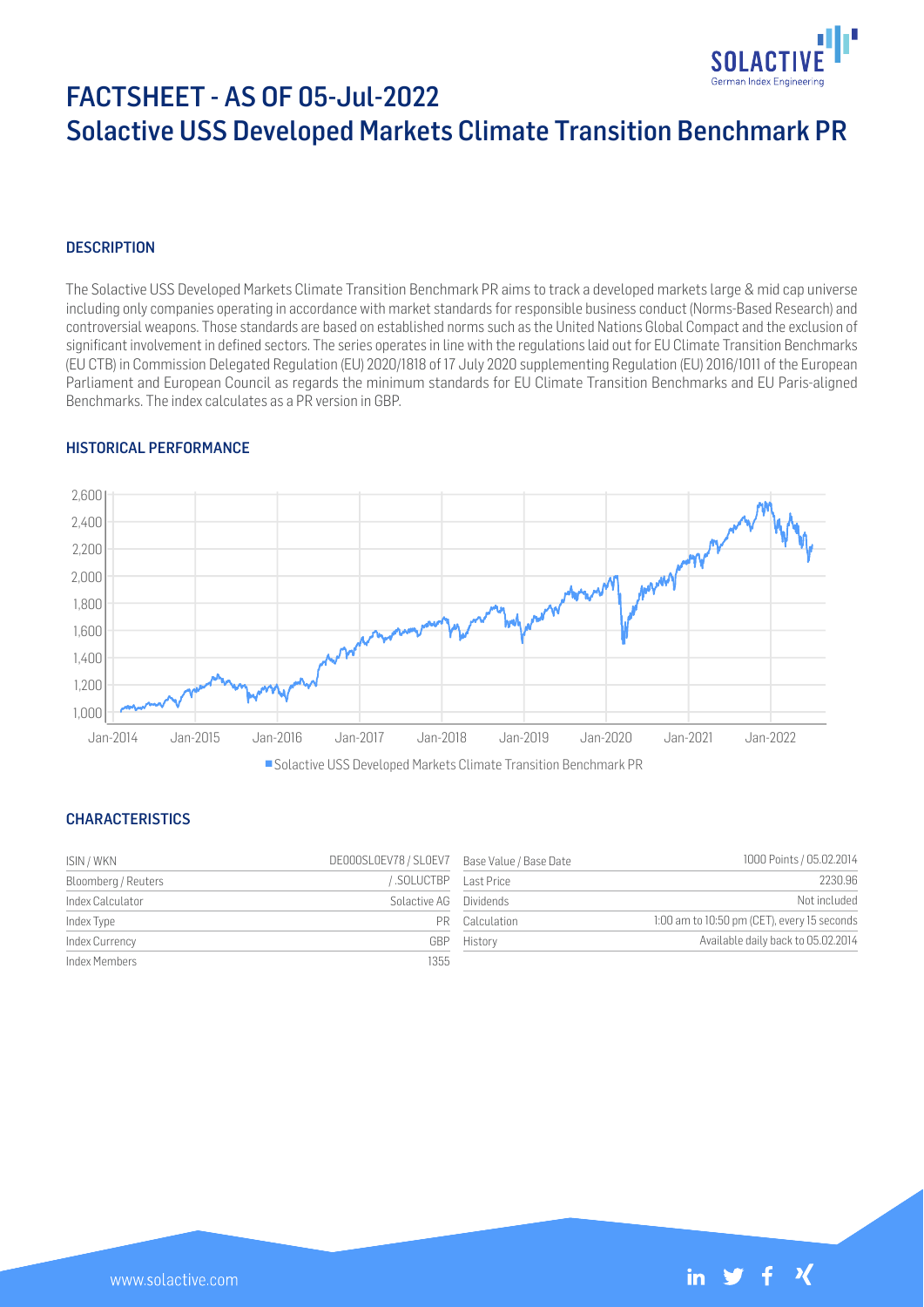

# FACTSHEET - AS OF 05-Jul-2022 Solactive USS Developed Markets Climate Transition Benchmark PR

## **DESCRIPTION**

The Solactive USS Developed Markets Climate Transition Benchmark PR aims to track a developed markets large & mid cap universe including only companies operating in accordance with market standards for responsible business conduct (Norms-Based Research) and controversial weapons. Those standards are based on established norms such as the United Nations Global Compact and the exclusion of significant involvement in defined sectors. The series operates in line with the regulations laid out for EU Climate Transition Benchmarks (EU CTB) in Commission Delegated Regulation (EU) 2020/1818 of 17 July 2020 supplementing Regulation (EU) 2016/1011 of the European Parliament and European Council as regards the minimum standards for EU Climate Transition Benchmarks and EU Paris-aligned Benchmarks. The index calculates as a PR version in GBP.

#### HISTORICAL PERFORMANCE



#### CHARACTERISTICS

| ISIN / WKN          | DE000SL0EV78 / SL0EV7 Base Value / Base Date |                | 1000 Points / 05.02.2014                    |
|---------------------|----------------------------------------------|----------------|---------------------------------------------|
| Bloomberg / Reuters | SOLUCTBP Last Price                          |                | 2230.96                                     |
| Index Calculator    | Solactive AG Dividends                       |                | Not included                                |
| Index Type          |                                              | PR Calculation | 1:00 am to 10:50 pm (CET), every 15 seconds |
| Index Currency      | GBP                                          | History        | Available daily back to 05.02.2014          |
| Index Members       | 1355                                         |                |                                             |

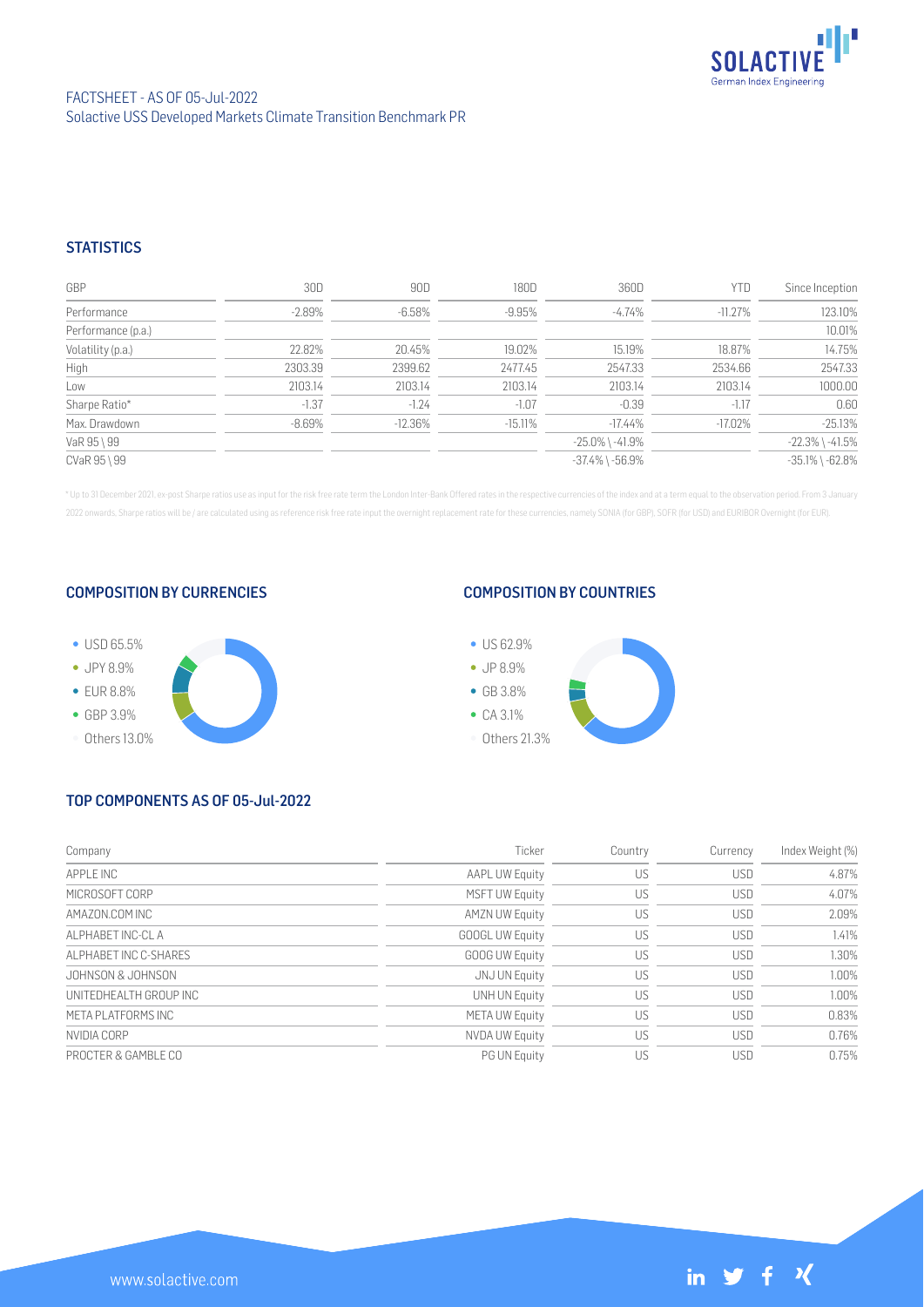

## **STATISTICS**

| GBP                | 30D       | 90D        | 180D      | 360D                  | YTD        | Since Inception       |
|--------------------|-----------|------------|-----------|-----------------------|------------|-----------------------|
| Performance        | $-2.89\%$ | $-6.58\%$  | $-9.95%$  | $-4.74\%$             | $-11.27\%$ | 123.10%               |
| Performance (p.a.) |           |            |           |                       |            | 10.01%                |
| Volatility (p.a.)  | 22.82%    | 20.45%     | 19.02%    | 15.19%                | 18.87%     | 14.75%                |
| High               | 2303.39   | 2399.62    | 2477.45   | 2547.33               | 2534.66    | 2547.33               |
| Low                | 2103.14   | 2103.14    | 2103.14   | 2103.14               | 2103.14    | 1000.00               |
| Sharpe Ratio*      | $-1.37$   | $-1.24$    | $-1.07$   | $-0.39$               | $-1.17$    | 0.60                  |
| Max. Drawdown      | $-8.69\%$ | $-12.36\%$ | $-15.11%$ | $-17.44%$             | $-17.02\%$ | $-25.13%$             |
| VaR 95 \ 99        |           |            |           | $-25.0\%$ \ $-41.9\%$ |            | $-22.3\%$ \ $-41.5\%$ |
| CVaR 95 \ 99       |           |            |           | $-37.4\%$ \ $-56.9\%$ |            | $-35.1\%$ \ $-62.8\%$ |

\* Up to 31 December 2021, ex-post Sharpe ratios use as input for the risk free rate term the London Inter-Bank Offered rates in the respective currencies of the index and at a term equal to the observation period. From 3 J 2022 onwards, Sharpe ratios will be / are calculated using as reference risk free rate input the overnight replacement rate for these currencies, namely SONIA (for GBP), SOFR (for USD) and EURIBOR Overnight (for EUR).

#### COMPOSITION BY CURRENCIES



#### COMPOSITION BY COUNTRIES



# TOP COMPONENTS AS OF 05-Jul-2022

| Company                 | Ticker                 | Country | Currency   | Index Weight (%) |
|-------------------------|------------------------|---------|------------|------------------|
| APPI F INC              | <b>AAPL UW Equity</b>  | US      | <b>USD</b> | 4.87%            |
| MICROSOFT CORP          | <b>MSFT UW Equity</b>  | US      | USD        | 4.07%            |
| AMAZON.COM INC          | <b>AMZN UW Equity</b>  | US      | <b>USD</b> | 2.09%            |
| AI PHABET INC-CLA       | <b>GOOGL UW Equity</b> | US      | <b>USD</b> | 1.41%            |
| ALPHABET INC C-SHARES   | <b>GOOG UW Equity</b>  | US      | USD        | 1.30%            |
| JOHNSON & JOHNSON       | JNJ UN Equity          | US      | <b>USD</b> | 1.00%            |
| UNITEDHEALTH GROUP INC. | <b>UNH UN Equity</b>   | US      | <b>USD</b> | 1.00%            |
| META PLATEORMS INC      | <b>META UW Equity</b>  | US      | <b>USD</b> | 0.83%            |
| NVIDIA CORP             | <b>NVDA UW Equity</b>  | US      | <b>USD</b> | 0.76%            |
| PROCTER & GAMBLE CO     | <b>PG UN Equity</b>    | US      | <b>USD</b> | 0.75%            |